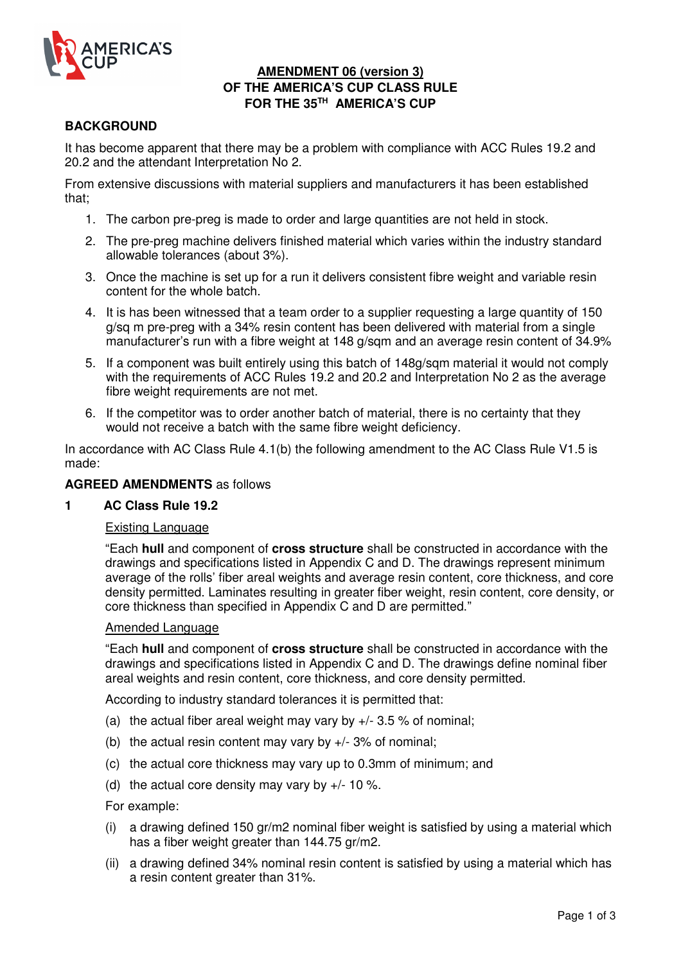

## **AMENDMENT 06 (version 3) OF THE AMERICA'S CUP CLASS RULE FOR THE 35TH AMERICA'S CUP**

# **BACKGROUND**

It has become apparent that there may be a problem with compliance with ACC Rules 19.2 and 20.2 and the attendant Interpretation No 2.

From extensive discussions with material suppliers and manufacturers it has been established that;

- 1. The carbon pre-preg is made to order and large quantities are not held in stock.
- 2. The pre-preg machine delivers finished material which varies within the industry standard allowable tolerances (about 3%).
- 3. Once the machine is set up for a run it delivers consistent fibre weight and variable resin content for the whole batch.
- 4. It is has been witnessed that a team order to a supplier requesting a large quantity of 150 g/sq m pre-preg with a 34% resin content has been delivered with material from a single manufacturer's run with a fibre weight at 148 g/sqm and an average resin content of 34.9%
- 5. If a component was built entirely using this batch of 148g/sqm material it would not comply with the requirements of ACC Rules 19.2 and 20.2 and Interpretation No 2 as the average fibre weight requirements are not met.
- 6. If the competitor was to order another batch of material, there is no certainty that they would not receive a batch with the same fibre weight deficiency.

In accordance with AC Class Rule 4.1(b) the following amendment to the AC Class Rule V1.5 is made:

#### **AGREED AMENDMENTS** as follows

#### **1 AC Class Rule 19.2**

#### Existing Language

"Each **hull** and component of **cross structure** shall be constructed in accordance with the drawings and specifications listed in Appendix C and D. The drawings represent minimum average of the rolls' fiber areal weights and average resin content, core thickness, and core density permitted. Laminates resulting in greater fiber weight, resin content, core density, or core thickness than specified in Appendix C and D are permitted."

### Amended Language

"Each **hull** and component of **cross structure** shall be constructed in accordance with the drawings and specifications listed in Appendix C and D. The drawings define nominal fiber areal weights and resin content, core thickness, and core density permitted.

According to industry standard tolerances it is permitted that:

- (a) the actual fiber areal weight may vary by  $+/- 3.5$  % of nominal;
- (b) the actual resin content may vary by  $+/-$  3% of nominal;
- (c) the actual core thickness may vary up to 0.3mm of minimum; and
- (d) the actual core density may vary by  $+/- 10$  %.

For example:

- (i) a drawing defined 150 gr/m2 nominal fiber weight is satisfied by using a material which has a fiber weight greater than 144.75 gr/m2.
- (ii) a drawing defined 34% nominal resin content is satisfied by using a material which has a resin content greater than 31%.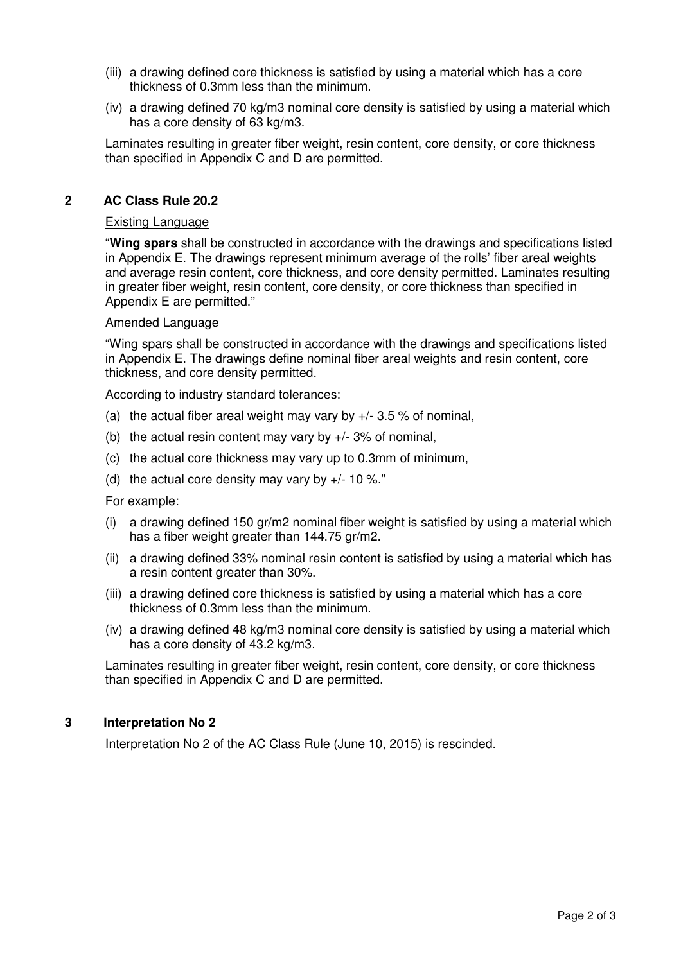- (iii) a drawing defined core thickness is satisfied by using a material which has a core thickness of 0.3mm less than the minimum.
- (iv) a drawing defined 70 kg/m3 nominal core density is satisfied by using a material which has a core density of 63 kg/m3.

Laminates resulting in greater fiber weight, resin content, core density, or core thickness than specified in Appendix C and D are permitted.

#### **2 AC Class Rule 20.2**

#### Existing Language

"**Wing spars** shall be constructed in accordance with the drawings and specifications listed in Appendix E. The drawings represent minimum average of the rolls' fiber areal weights and average resin content, core thickness, and core density permitted. Laminates resulting in greater fiber weight, resin content, core density, or core thickness than specified in Appendix E are permitted."

#### Amended Language

"Wing spars shall be constructed in accordance with the drawings and specifications listed in Appendix E. The drawings define nominal fiber areal weights and resin content, core thickness, and core density permitted.

According to industry standard tolerances:

- (a) the actual fiber areal weight may vary by  $+/-$  3.5 % of nominal,
- (b) the actual resin content may vary by  $+/-$  3% of nominal,
- (c) the actual core thickness may vary up to 0.3mm of minimum,
- (d) the actual core density may vary by  $+/- 10$  %."
- For example:
- (i) a drawing defined 150 gr/m2 nominal fiber weight is satisfied by using a material which has a fiber weight greater than 144.75 gr/m2.
- (ii) a drawing defined 33% nominal resin content is satisfied by using a material which has a resin content greater than 30%.
- (iii) a drawing defined core thickness is satisfied by using a material which has a core thickness of 0.3mm less than the minimum.
- (iv) a drawing defined 48 kg/m3 nominal core density is satisfied by using a material which has a core density of 43.2 kg/m3.

Laminates resulting in greater fiber weight, resin content, core density, or core thickness than specified in Appendix C and D are permitted.

### **3 Interpretation No 2**

Interpretation No 2 of the AC Class Rule (June 10, 2015) is rescinded.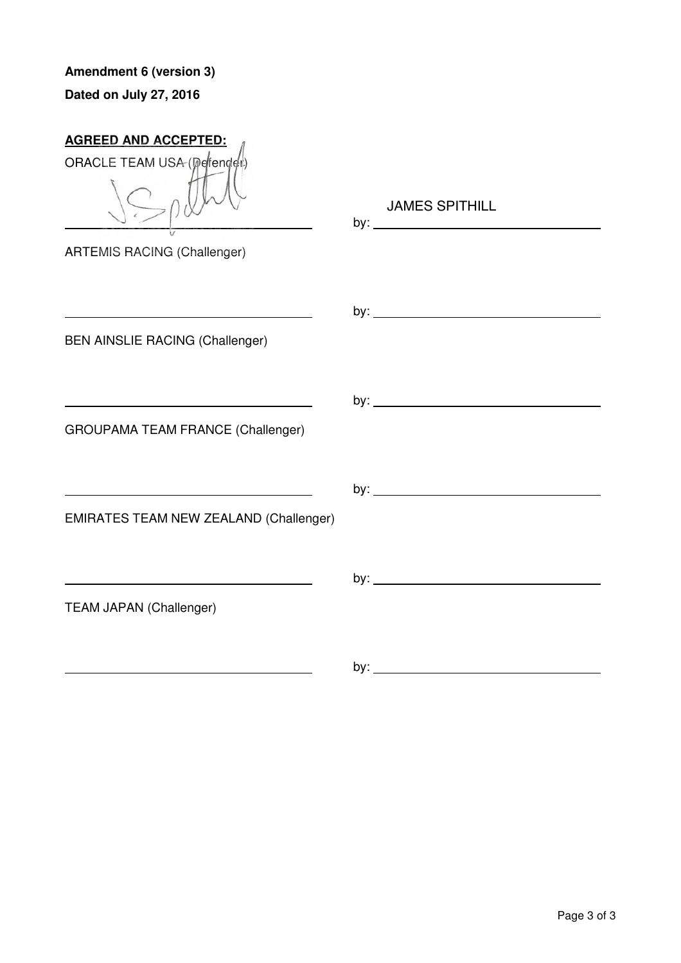**Amendment 6 (version 3) Dated on July 27, 2016**

| <b>AGREED AND ACCEPTED:</b>              |                       |
|------------------------------------------|-----------------------|
| ORACLE TEAM USA (perfender)              |                       |
|                                          | <b>JAMES SPITHILL</b> |
| <b>ARTEMIS RACING (Challenger)</b>       |                       |
|                                          |                       |
|                                          |                       |
| <b>BEN AINSLIE RACING (Challenger)</b>   |                       |
|                                          |                       |
|                                          |                       |
| <b>GROUPAMA TEAM FRANCE (Challenger)</b> |                       |
|                                          |                       |
|                                          |                       |
| EMIRATES TEAM NEW ZEALAND (Challenger)   |                       |
|                                          |                       |
|                                          |                       |
| <b>TEAM JAPAN (Challenger)</b>           |                       |
|                                          |                       |
|                                          |                       |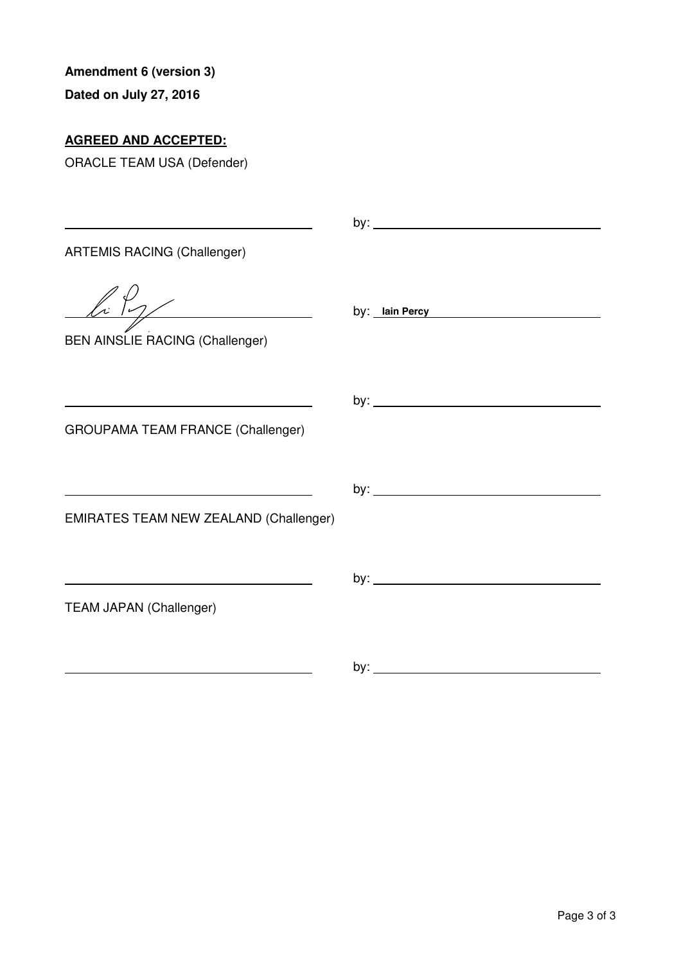**Dated on July 27, 2016**

# **AGREED AND ACCEPTED:**

| <b>ARTEMIS RACING (Challenger)</b>                                                                                                                                |                       |
|-------------------------------------------------------------------------------------------------------------------------------------------------------------------|-----------------------|
| $\sqrt{k \gamma}$<br><b>BEN AINSLIE RACING (Challenger)</b>                                                                                                       | by: <u>Iain Percy</u> |
| <u> 1989 - Johann Barn, mars ann an t-Amhain an t-Amhain an t-Amhain an t-Amhain an t-Amhain an t-Amhain an t-Amh</u><br><b>GROUPAMA TEAM FRANCE (Challenger)</b> |                       |
| <b>EMIRATES TEAM NEW ZEALAND (Challenger)</b>                                                                                                                     |                       |
| <b>TEAM JAPAN (Challenger)</b>                                                                                                                                    |                       |
|                                                                                                                                                                   |                       |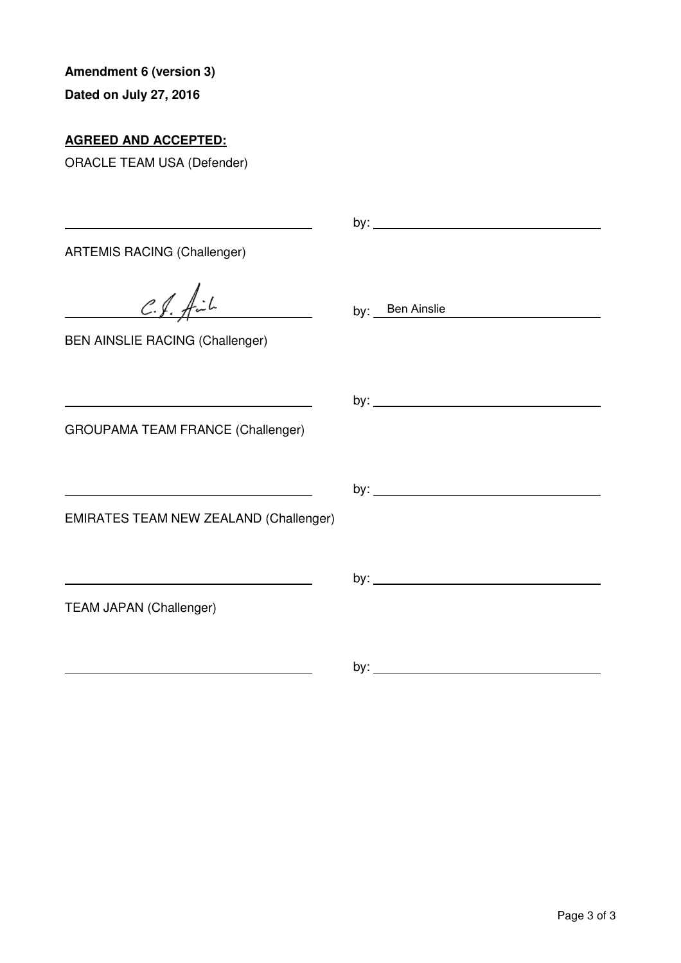**Dated on July 27, 2016**

# **AGREED AND ACCEPTED:**

| <b>ARTEMIS RACING (Challenger)</b>            |                 |
|-----------------------------------------------|-----------------|
| $C.f.$ $\oint c L$                            | by: Ben Ainslie |
| <b>BEN AINSLIE RACING (Challenger)</b>        |                 |
|                                               |                 |
| <b>GROUPAMA TEAM FRANCE (Challenger)</b>      |                 |
|                                               |                 |
| <b>EMIRATES TEAM NEW ZEALAND (Challenger)</b> |                 |
|                                               |                 |
| <b>TEAM JAPAN (Challenger)</b>                |                 |
|                                               |                 |
|                                               |                 |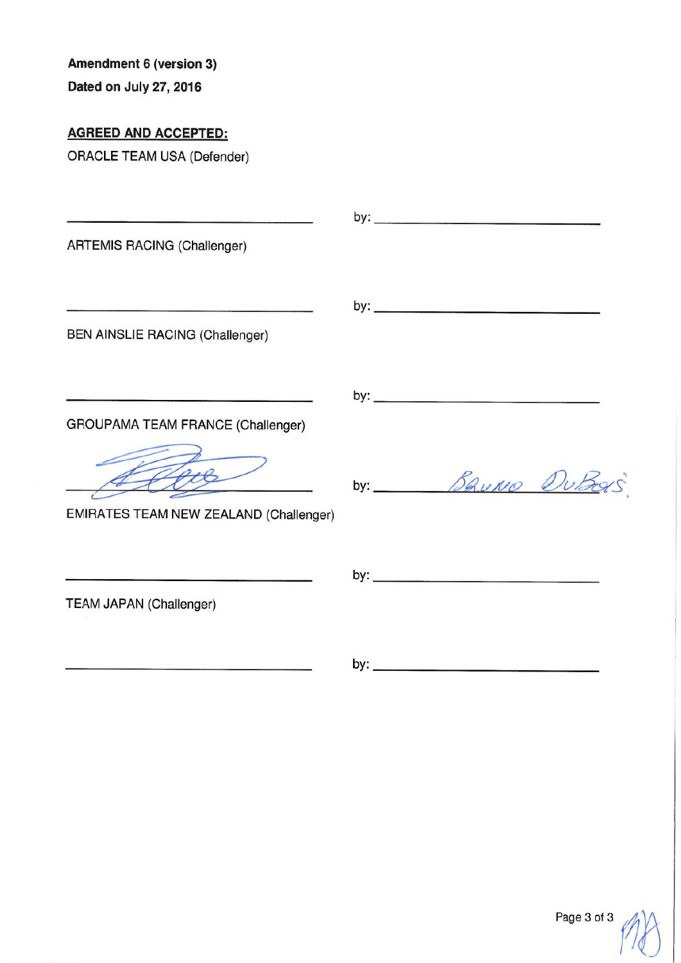Dated on July 27, 2016

**AGREED AND ACCEPTED:** 

| <b>ARTEMIS RACING (Challenger)</b>                                                           |                 |
|----------------------------------------------------------------------------------------------|-----------------|
| BEN AINSLIE RACING (Challenger)                                                              |                 |
| GROUPAMA TEAM FRANCE (Challenger)                                                            |                 |
| EMIRATES TEAM NEW ZEALAND (Challenger)                                                       | by: Bauno DuBas |
| <u> 1980 - An Angels Allen, mensental eta esperantor e</u><br><b>TEAM JAPAN (Challenger)</b> |                 |
|                                                                                              |                 |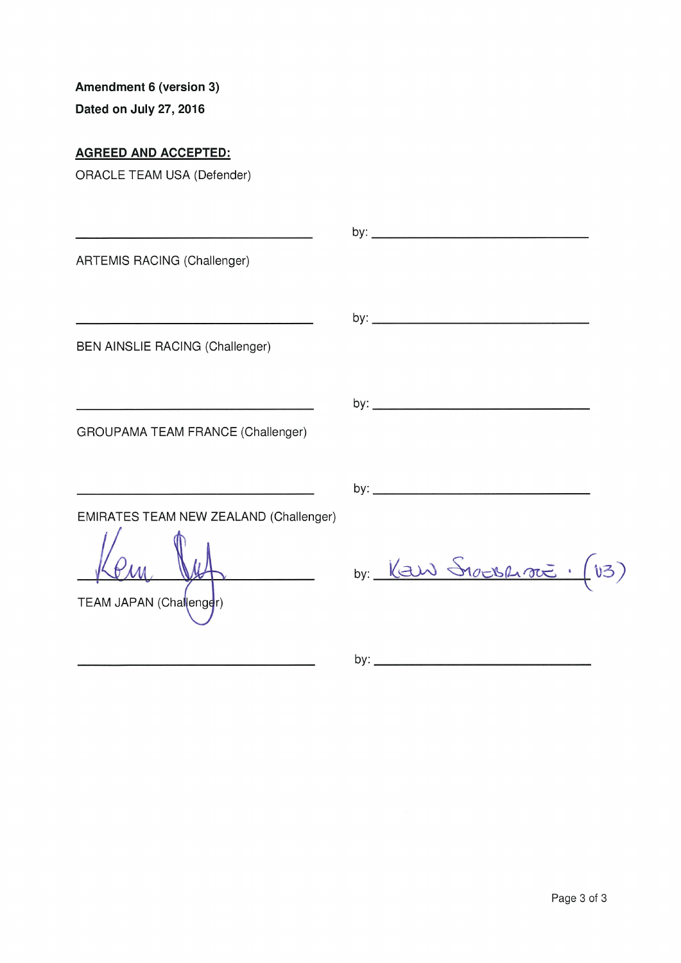Dated on July 27, 2016

# **AGREED AND ACCEPTED:**

| ARTEMIS RACING (Challenger)                                       |                                 |
|-------------------------------------------------------------------|---------------------------------|
| BEN AINSLIE RACING (Challenger)                                   |                                 |
| GROUPAMA TEAM FRANCE (Challenger)                                 |                                 |
|                                                                   |                                 |
| EMIRATES TEAM NEW ZEALAND (Challenger)<br>TEAM JAPAN (Challenger) | by: $\frac{1}{2}$ S1008400 (13) |
|                                                                   |                                 |